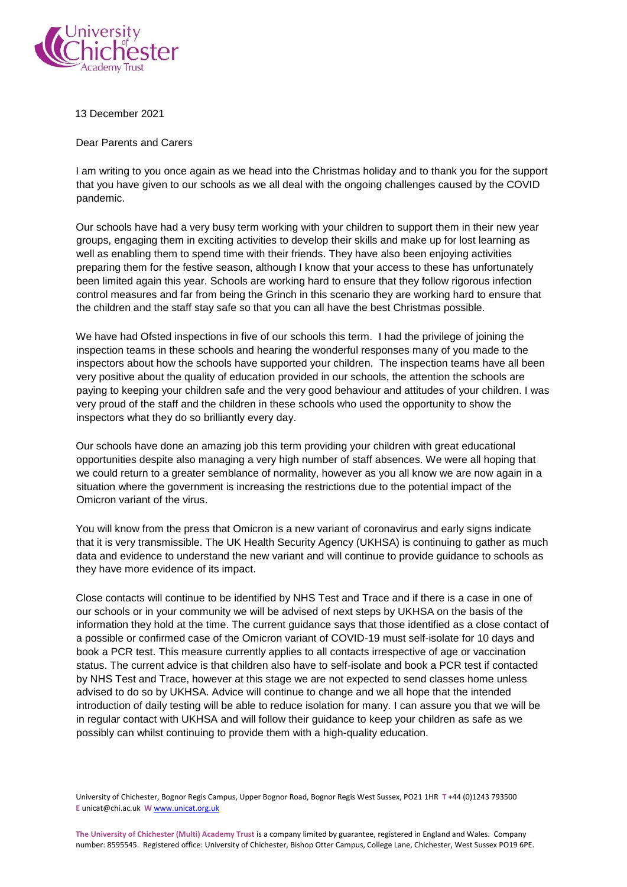

13 December 2021

Dear Parents and Carers

I am writing to you once again as we head into the Christmas holiday and to thank you for the support that you have given to our schools as we all deal with the ongoing challenges caused by the COVID pandemic.

Our schools have had a very busy term working with your children to support them in their new year groups, engaging them in exciting activities to develop their skills and make up for lost learning as well as enabling them to spend time with their friends. They have also been enjoying activities preparing them for the festive season, although I know that your access to these has unfortunately been limited again this year. Schools are working hard to ensure that they follow rigorous infection control measures and far from being the Grinch in this scenario they are working hard to ensure that the children and the staff stay safe so that you can all have the best Christmas possible.

We have had Ofsted inspections in five of our schools this term. I had the privilege of joining the inspection teams in these schools and hearing the wonderful responses many of you made to the inspectors about how the schools have supported your children. The inspection teams have all been very positive about the quality of education provided in our schools, the attention the schools are paying to keeping your children safe and the very good behaviour and attitudes of your children. I was very proud of the staff and the children in these schools who used the opportunity to show the inspectors what they do so brilliantly every day.

Our schools have done an amazing job this term providing your children with great educational opportunities despite also managing a very high number of staff absences. We were all hoping that we could return to a greater semblance of normality, however as you all know we are now again in a situation where the government is increasing the restrictions due to the potential impact of the Omicron variant of the virus.

You will know from the press that Omicron is a new variant of coronavirus and early signs indicate that it is very transmissible. The UK Health Security Agency (UKHSA) is continuing to gather as much data and evidence to understand the new variant and will continue to provide guidance to schools as they have more evidence of its impact.

Close contacts will continue to be identified by NHS Test and Trace and if there is a case in one of our schools or in your community we will be advised of next steps by UKHSA on the basis of the information they hold at the time. The current guidance says that those identified as a close contact of a possible or confirmed case of the Omicron variant of COVID-19 must self-isolate for 10 days and book a PCR test. This measure currently applies to all contacts irrespective of age or vaccination status. The current advice is that children also have to self-isolate and book a PCR test if contacted by NHS Test and Trace, however at this stage we are not expected to send classes home unless advised to do so by UKHSA. Advice will continue to change and we all hope that the intended introduction of daily testing will be able to reduce isolation for many. I can assure you that we will be in regular contact with UKHSA and will follow their guidance to keep your children as safe as we possibly can whilst continuing to provide them with a high-quality education.

University of Chichester, Bognor Regis Campus, Upper Bognor Road, Bognor Regis West Sussex, PO21 1HR **T** +44 (0)1243 793500 **E** unicat@chi.ac.uk **W** www.unicat.org.uk